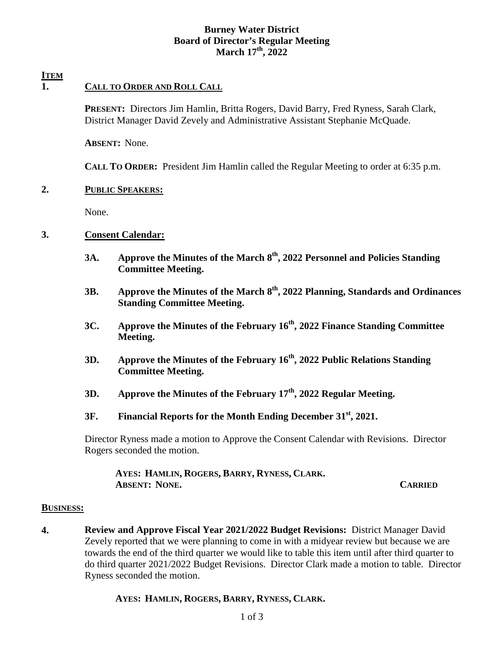# **Burney Water District Board of Director's Regular Meeting March 17th, 2022**

# **ITEM**

# **1. CALL TO ORDER AND ROLL CALL**

**PRESENT:** Directors Jim Hamlin, Britta Rogers, David Barry, Fred Ryness, Sarah Clark, District Manager David Zevely and Administrative Assistant Stephanie McQuade.

**ABSENT:** None.

**CALL TO ORDER:** President Jim Hamlin called the Regular Meeting to order at 6:35 p.m.

## **2. PUBLIC SPEAKERS:**

None.

## **3. Consent Calendar:**

- **3A. Approve the Minutes of the March 8th, 2022 Personnel and Policies Standing Committee Meeting.**
- **3B. Approve the Minutes of the March 8th, 2022 Planning, Standards and Ordinances Standing Committee Meeting.**
- **3C. Approve the Minutes of the February 16th, 2022 Finance Standing Committee Meeting.**
- **3D. Approve the Minutes of the February 16th, 2022 Public Relations Standing Committee Meeting.**
- **3D. Approve the Minutes of the February 17th, 2022 Regular Meeting.**
- **3F. Financial Reports for the Month Ending December 31st, 2021.**

Director Ryness made a motion to Approve the Consent Calendar with Revisions. Director Rogers seconded the motion.

 **AYES: HAMLIN, ROGERS, BARRY, RYNESS, CLARK. ABSENT: NONE. CARRIED**

### **BUSINESS:**

**4. Review and Approve Fiscal Year 2021/2022 Budget Revisions:** District Manager David Zevely reported that we were planning to come in with a midyear review but because we are towards the end of the third quarter we would like to table this item until after third quarter to do third quarter 2021/2022 Budget Revisions. Director Clark made a motion to table. Director Ryness seconded the motion.

## **AYES: HAMLIN, ROGERS, BARRY, RYNESS, CLARK.**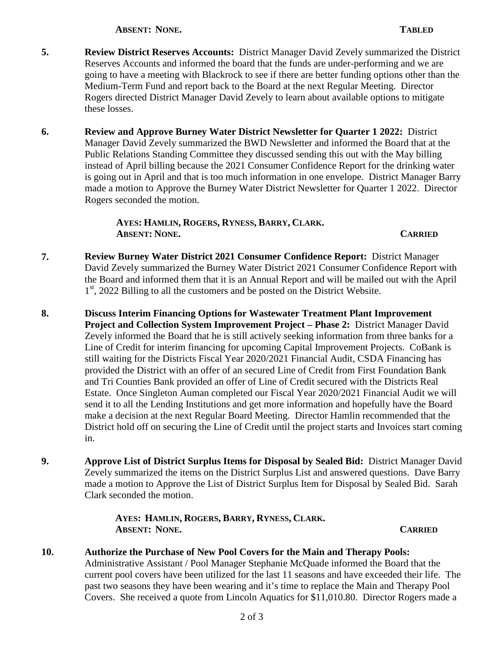**ABSENT: NONE. TABLED**

- **5. Review District Reserves Accounts:** District Manager David Zevely summarized the District Reserves Accounts and informed the board that the funds are under-performing and we are going to have a meeting with Blackrock to see if there are better funding options other than the Medium-Term Fund and report back to the Board at the next Regular Meeting. Director Rogers directed District Manager David Zevely to learn about available options to mitigate these losses.
- **6. Review and Approve Burney Water District Newsletter for Quarter 1 2022:** District Manager David Zevely summarized the BWD Newsletter and informed the Board that at the Public Relations Standing Committee they discussed sending this out with the May billing instead of April billing because the 2021 Consumer Confidence Report for the drinking water is going out in April and that is too much information in one envelope. District Manager Barry made a motion to Approve the Burney Water District Newsletter for Quarter 1 2022. Director Rogers seconded the motion.

 **AYES: HAMLIN, ROGERS, RYNESS, BARRY, CLARK. ABSENT: NONE. CARRIED**

- **7. Review Burney Water District 2021 Consumer Confidence Report:** District Manager David Zevely summarized the Burney Water District 2021 Consumer Confidence Report with the Board and informed them that it is an Annual Report and will be mailed out with the April 1<sup>st</sup>, 2022 Billing to all the customers and be posted on the District Website.
- **8. Discuss Interim Financing Options for Wastewater Treatment Plant Improvement Project and Collection System Improvement Project – Phase 2:** District Manager David Zevely informed the Board that he is still actively seeking information from three banks for a Line of Credit for interim financing for upcoming Capital Improvement Projects. CoBank is still waiting for the Districts Fiscal Year 2020/2021 Financial Audit, CSDA Financing has provided the District with an offer of an secured Line of Credit from First Foundation Bank and Tri Counties Bank provided an offer of Line of Credit secured with the Districts Real Estate. Once Singleton Auman completed our Fiscal Year 2020/2021 Financial Audit we will send it to all the Lending Institutions and get more information and hopefully have the Board make a decision at the next Regular Board Meeting. Director Hamlin recommended that the District hold off on securing the Line of Credit until the project starts and Invoices start coming in.
- **9. Approve List of District Surplus Items for Disposal by Sealed Bid:** District Manager David Zevely summarized the items on the District Surplus List and answered questions. Dave Barry made a motion to Approve the List of District Surplus Item for Disposal by Sealed Bid. Sarah Clark seconded the motion.

 **AYES: HAMLIN, ROGERS, BARRY, RYNESS, CLARK. ABSENT: NONE. CARRIED**

**10. Authorize the Purchase of New Pool Covers for the Main and Therapy Pools:**  Administrative Assistant / Pool Manager Stephanie McQuade informed the Board that the current pool covers have been utilized for the last 11 seasons and have exceeded their life. The past two seasons they have been wearing and it's time to replace the Main and Therapy Pool Covers. She received a quote from Lincoln Aquatics for \$11,010.80. Director Rogers made a